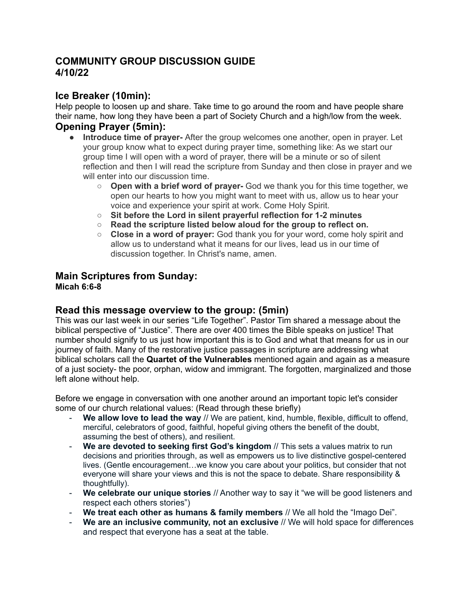# **COMMUNITY GROUP DISCUSSION GUIDE 4/10/22**

# **Ice Breaker (10min):**

Help people to loosen up and share. Take time to go around the room and have people share their name, how long they have been a part of Society Church and a high/low from the week. **Opening Prayer (5min):**

- **Introduce time of prayer-** After the group welcomes one another, open in prayer. Let your group know what to expect during prayer time, something like: As we start our group time I will open with a word of prayer, there will be a minute or so of silent reflection and then I will read the scripture from Sunday and then close in prayer and we will enter into our discussion time.
	- **Open with a brief word of prayer-** God we thank you for this time together, we open our hearts to how you might want to meet with us, allow us to hear your voice and experience your spirit at work. Come Holy Spirit.
	- **○ Sit before the Lord in silent prayerful reflection for 1-2 minutes**
	- **○ Read the scripture listed below aloud for the group to reflect on.**
	- **Close in a word of prayer:** God thank you for your word, come holy spirit and allow us to understand what it means for our lives, lead us in our time of discussion together. In Christ's name, amen.

### **Main Scriptures from Sunday: Micah 6:6-8**

# **Read this message overview to the group: (5min)**

This was our last week in our series "Life Together". Pastor Tim shared a message about the biblical perspective of "Justice". There are over 400 times the Bible speaks on justice! That number should signify to us just how important this is to God and what that means for us in our journey of faith. Many of the restorative justice passages in scripture are addressing what biblical scholars call the **Quartet of the Vulnerables** mentioned again and again as a measure of a just society- the poor, orphan, widow and immigrant. The forgotten, marginalized and those left alone without help.

Before we engage in conversation with one another around an important topic let's consider some of our church relational values: (Read through these briefly)

- **We allow love to lead the way** // We are patient, kind, humble, flexible, difficult to offend, merciful, celebrators of good, faithful, hopeful giving others the benefit of the doubt, assuming the best of others), and resilient.
- **We are devoted to seeking first God's kingdom** // This sets a values matrix to run decisions and priorities through, as well as empowers us to live distinctive gospel-centered lives. (Gentle encouragement…we know you care about your politics, but consider that not everyone will share your views and this is not the space to debate. Share responsibility & thoughtfully).
- **We celebrate our unique stories** // Another way to say it "we will be good listeners and respect each others stories")
- **We treat each other as humans & family members** // We all hold the "Imago Dei".
- **We are an inclusive community, not an exclusive** // We will hold space for differences and respect that everyone has a seat at the table.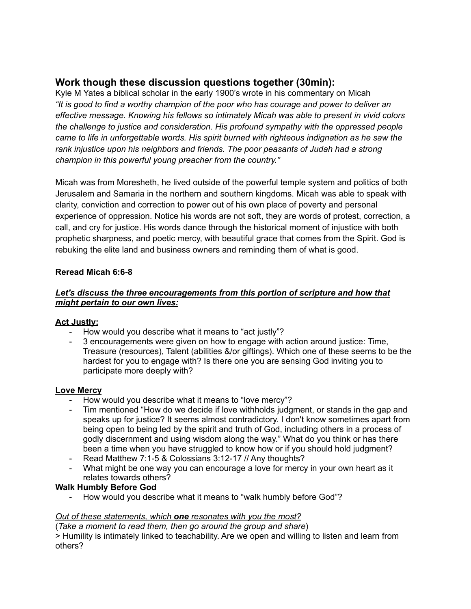# **Work though these discussion questions together (30min):**

Kyle M Yates a biblical scholar in the early 1900's wrote in his commentary on Micah *"It is good to find a worthy champion of the poor who has courage and power to deliver an effective message. Knowing his fellows so intimately Micah was able to present in vivid colors the challenge to justice and consideration. His profound sympathy with the oppressed people came to life in unforgettable words. His spirit burned with righteous indignation as he saw the rank injustice upon his neighbors and friends. The poor peasants of Judah had a strong champion in this powerful young preacher from the country."*

Micah was from Moresheth, he lived outside of the powerful temple system and politics of both Jerusalem and Samaria in the northern and southern kingdoms. Micah was able to speak with clarity, conviction and correction to power out of his own place of poverty and personal experience of oppression. Notice his words are not soft, they are words of protest, correction, a call, and cry for justice. His words dance through the historical moment of injustice with both prophetic sharpness, and poetic mercy, with beautiful grace that comes from the Spirit. God is rebuking the elite land and business owners and reminding them of what is good.

### **Reread Micah 6:6-8**

#### *Let's discuss the three encouragements from this portion of scripture and how that might pertain to our own lives:*

### **Act Justly:**

- How would you describe what it means to "act justly"?
- 3 encouragements were given on how to engage with action around justice: Time, Treasure (resources), Talent (abilities &/or giftings). Which one of these seems to be the hardest for you to engage with? Is there one you are sensing God inviting you to participate more deeply with?

### **Love Mercy**

- How would you describe what it means to "love mercy"?
- Tim mentioned "How do we decide if love withholds judgment, or stands in the gap and speaks up for justice? It seems almost contradictory. I don't know sometimes apart from being open to being led by the spirit and truth of God, including others in a process of godly discernment and using wisdom along the way." What do you think or has there been a time when you have struggled to know how or if you should hold judgment?
- Read Matthew 7:1-5 & Colossians 3:12-17 // Any thoughts?
- What might be one way you can encourage a love for mercy in your own heart as it relates towards others?

### **Walk Humbly Before God**

- How would you describe what it means to "walk humbly before God"?

#### *Out of these statements, which one resonates with you the most?*

(*Take a moment to read them, then go around the group and share*) > Humility is intimately linked to teachability. Are we open and willing to listen and learn from others?